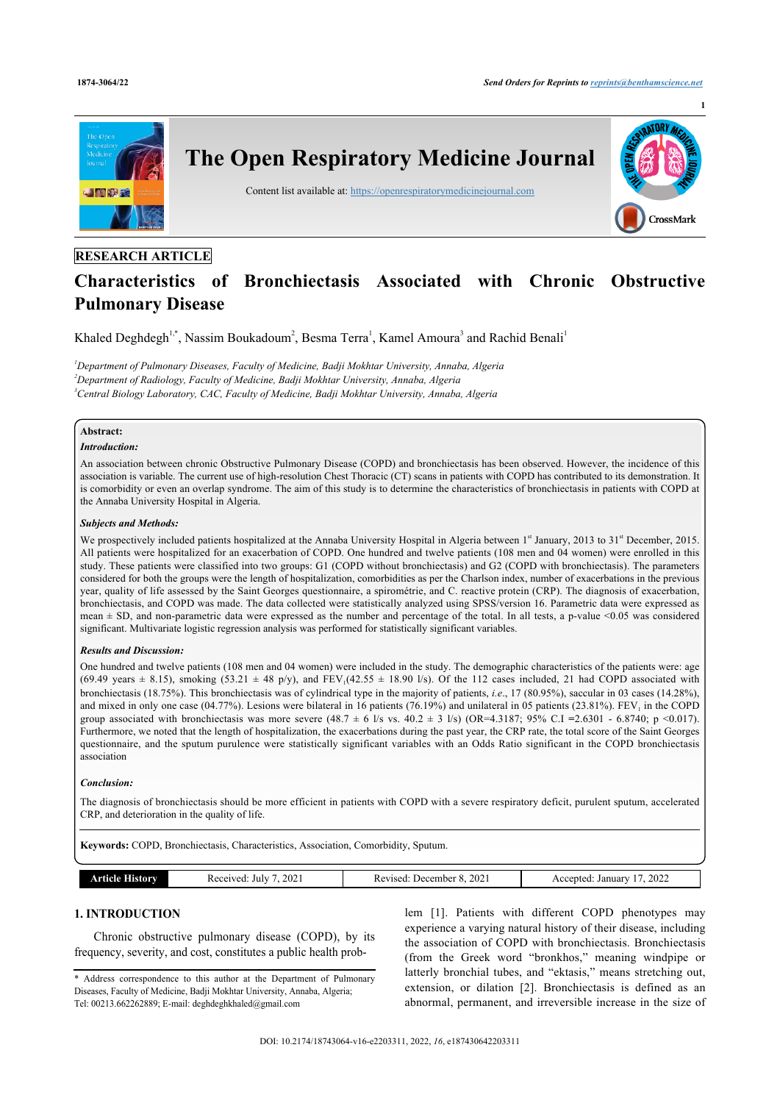

# **RESEARCH ARTICLE**

# **Characteristics of Bronchiectasis Associated with Chronic Obstructive Pulmonary Disease**

Khaled Deghdegh<sup>[1](#page-0-0)[,\\*](#page-0-1)</sup>, Nassim Boukadoum<sup>[2](#page-0-2)</sup>, Besma Terra<sup>1</sup>, Kamel Amoura<sup>[3](#page-0-3)</sup> and Rachid Benali<sup>1</sup>

<span id="page-0-3"></span><span id="page-0-2"></span><span id="page-0-0"></span>*<sup>1</sup>Department of Pulmonary Diseases, Faculty of Medicine, Badji Mokhtar University, Annaba, Algeria <sup>2</sup>Department of Radiology, Faculty of Medicine, Badji Mokhtar University, Annaba, Algeria <sup>3</sup>Central Biology Laboratory, CAC, Faculty of Medicine, Badji Mokhtar University, Annaba, Algeria*

# **Abstract:**

#### *Introduction:*

An association between chronic Obstructive Pulmonary Disease (COPD) and bronchiectasis has been observed. However, the incidence of this association is variable. The current use of high-resolution Chest Thoracic (CT) scans in patients with COPD has contributed to its demonstration. It is comorbidity or even an overlap syndrome. The aim of this study is to determine the characteristics of bronchiectasis in patients with COPD at the Annaba University Hospital in Algeria.

#### *Subjects and Methods:*

We prospectively included patients hospitalized at the Annaba University Hospital in Algeria between 1<sup>st</sup> January, 2013 to 31<sup>st</sup> December, 2015. All patients were hospitalized for an exacerbation of COPD. One hundred and twelve patients (108 men and 04 women) were enrolled in this study. These patients were classified into two groups: G1 (COPD without bronchiectasis) and G2 (COPD with bronchiectasis). The parameters considered for both the groups were the length of hospitalization, comorbidities as per the Charlson index, number of exacerbations in the previous year, quality of life assessed by the Saint Georges questionnaire, a spirométrie, and C. reactive protein (CRP). The diagnosis of exacerbation, bronchiectasis, and COPD was made. The data collected were statistically analyzed using SPSS/version 16. Parametric data were expressed as mean ± SD, and non-parametric data were expressed as the number and percentage of the total. In all tests, a p-value <0.05 was considered significant. Multivariate logistic regression analysis was performed for statistically significant variables.

#### *Results and Discussion:*

One hundred and twelve patients (108 men and 04 women) were included in the study. The demographic characteristics of the patients were: age  $(69.49 \text{ years} \pm 8.15)$ , smoking  $(53.21 \pm 48 \text{ p/y})$ , and  $FEV_1(42.55 \pm 18.90 \text{ l/s})$ . Of the 112 cases included, 21 had COPD associated with bronchiectasis (18.75%). This bronchiectasis was of cylindrical type in the majority of patients, *i.e*., 17 (80.95%), saccular in 03 cases (14.28%), and mixed in only one case (04.77%). Lesions were bilateral in 16 patients (76.19%) and unilateral in 05 patients (23.81%).  $FEV<sub>1</sub>$  in the COPD group associated with bronchiectasis was more severe (48.7 ± 6 l/s vs. 40.2 ± 3 l/s) (OR=4.3187; 95% C.I **=**2.6301 - 6.8740; p <0.017). Furthermore, we noted that the length of hospitalization, the exacerbations during the past year, the CRP rate, the total score of the Saint Georges questionnaire, and the sputum purulence were statistically significant variables with an Odds Ratio significant in the COPD bronchiectasis association

#### *Conclusion:*

The diagnosis of bronchiectasis should be more efficient in patients with COPD with a severe respiratory deficit, purulent sputum, accelerated CRP, and deterioration in the quality of life.

**Keywords:** COPD, Bronchiectasis, Characteristics, Association, Comorbidity, Sputum.

| 2022<br>202.<br>202<br>July<br>Januar<br>a Jecember i<br>ente.<br>.arv<br>evis.<br>enved<br>K P<br>---<br>$  -$<br>.<br>. |  |
|---------------------------------------------------------------------------------------------------------------------------|--|
|---------------------------------------------------------------------------------------------------------------------------|--|

# **1. INTRODUCTION**

Chronic obstructive pulmonary disease (COPD), by its frequency, severity, and cost, constitutes a public health problem [[1\]](#page-5-0). Patients with different COPD phenotypes may experience a varying natural history of their disease, including the association of COPD with bronchiectasis. Bronchiectasis (from the Greek word "bronkhos," meaning windpipe or latterly bronchial tubes, and "ektasis," means stretching out, extension, or dilation [\[2\]](#page-5-1). Bronchiectasis is defined as an abnormal, permanent, and irreversible increase in the size of

<span id="page-0-1"></span><sup>\*</sup> Address correspondence to this author at the Department of Pulmonary Diseases, Faculty of Medicine, Badji Mokhtar University, Annaba, Algeria; Tel: 00213.662262889; E-mail: [deghdeghkhaled@gmail.com](mailto:deghdeghkhaled@gmail.com)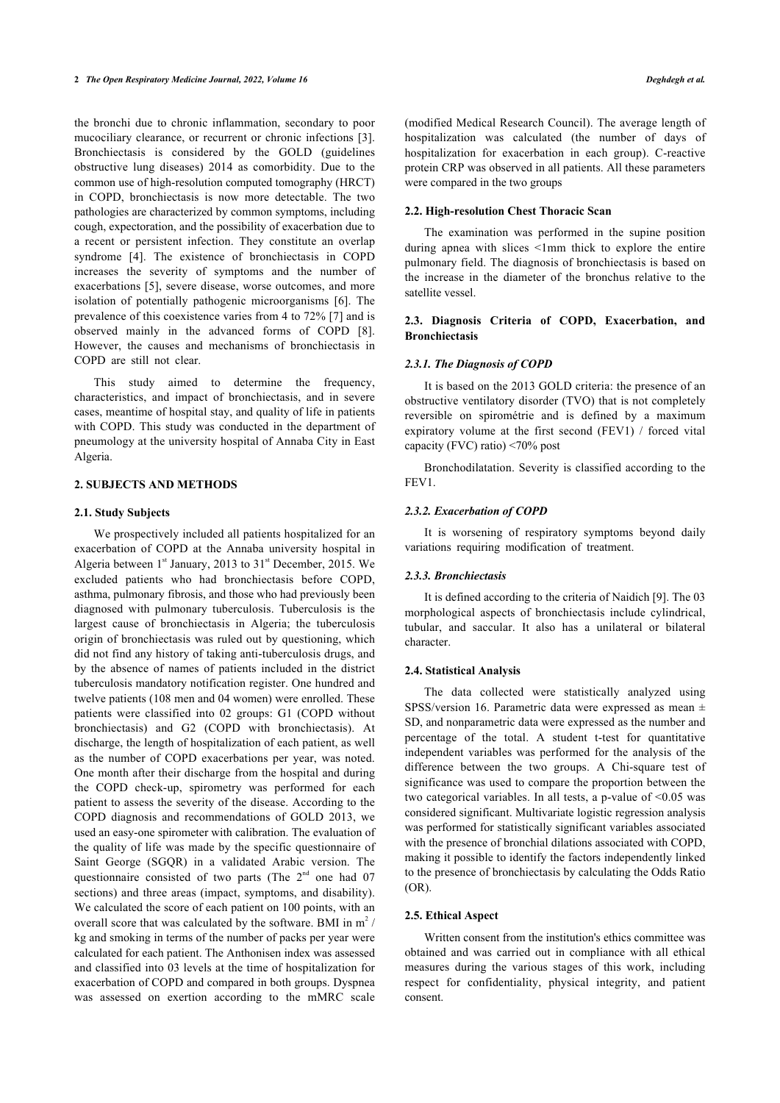the bronchi due to chronic inflammation, secondary to poor mucociliary clearance, or recurrent or chronic infections [\[3\]](#page-5-2). Bronchiectasis is considered by the GOLD (guidelines obstructive lung diseases) 2014 as comorbidity. Due to the common use of high-resolution computed tomography (HRCT) in COPD, bronchiectasis is now more detectable. The two pathologies are characterized by common symptoms, including cough, expectoration, and the possibility of exacerbation due to a recent or persistent infection. They constitute an overlap syndrome[[4](#page-5-3)]. The existence of bronchiectasis in COPD increases the severity of symptoms and the number of exacerbations [[5](#page-5-4)], severe disease, worse outcomes, and more isolation of potentially pathogenic microorganisms [\[6\]](#page-5-5). The prevalence of this coexistence varies from 4 to 72% [\[7\]](#page-5-6) and is observed mainly in the advanced forms of COPD [\[8\]](#page-5-7). However, the causes and mechanisms of bronchiectasis in COPD are still not clear.

This study aimed to determine the frequency, characteristics, and impact of bronchiectasis, and in severe cases, meantime of hospital stay, and quality of life in patients with COPD. This study was conducted in the department of pneumology at the university hospital of Annaba City in East Algeria.

#### **2. SUBJECTS AND METHODS**

#### **2.1. Study Subjects**

We prospectively included all patients hospitalized for an exacerbation of COPD at the Annaba university hospital in Algeria between  $1<sup>st</sup>$  January, 2013 to 31 $<sup>st</sup>$  December, 2015. We</sup> excluded patients who had bronchiectasis before COPD, asthma, pulmonary fibrosis, and those who had previously been diagnosed with pulmonary tuberculosis. Tuberculosis is the largest cause of bronchiectasis in Algeria; the tuberculosis origin of bronchiectasis was ruled out by questioning, which did not find any history of taking anti-tuberculosis drugs, and by the absence of names of patients included in the district tuberculosis mandatory notification register. One hundred and twelve patients (108 men and 04 women) were enrolled. These patients were classified into 02 groups: G1 (COPD without bronchiectasis) and G2 (COPD with bronchiectasis). At discharge, the length of hospitalization of each patient, as well as the number of COPD exacerbations per year, was noted. One month after their discharge from the hospital and during the COPD check-up, spirometry was performed for each patient to assess the severity of the disease. According to the COPD diagnosis and recommendations of GOLD 2013, we used an easy-one spirometer with calibration. The evaluation of the quality of life was made by the specific questionnaire of Saint George (SGQR) in a validated Arabic version. The questionnaire consisted of two parts (The  $2<sup>nd</sup>$  one had 07 sections) and three areas (impact, symptoms, and disability). We calculated the score of each patient on 100 points, with an overall score that was calculated by the software. BMI in  $m^2$  / kg and smoking in terms of the number of packs per year were calculated for each patient. The Anthonisen index was assessed and classified into 03 levels at the time of hospitalization for exacerbation of COPD and compared in both groups. Dyspnea was assessed on exertion according to the mMRC scale (modified Medical Research Council). The average length of hospitalization was calculated (the number of days of hospitalization for exacerbation in each group). C-reactive protein CRP was observed in all patients. All these parameters were compared in the two groups

## **2.2. High-resolution Chest Thoracic Scan**

The examination was performed in the supine position during apnea with slices <1mm thick to explore the entire pulmonary field. The diagnosis of bronchiectasis is based on the increase in the diameter of the bronchus relative to the satellite vessel.

## **2.3. Diagnosis Criteria of COPD, Exacerbation, and Bronchiectasis**

#### *2.3.1. The Diagnosis of COPD*

It is based on the 2013 GOLD criteria: the presence of an obstructive ventilatory disorder (TVO) that is not completely reversible on spirométrie and is defined by a maximum expiratory volume at the first second (FEV1) / forced vital capacity (FVC) ratio) <70% post

Bronchodilatation. Severity is classified according to the FEV1.

#### *2.3.2. Exacerbation of COPD*

It is worsening of respiratory symptoms beyond daily variations requiring modification of treatment.

#### *2.3.3. Bronchiectasis*

It is defined according to the criteria of Naidich [9]. The 03 morphological aspects of bronchiectasis include cylindrical, tubular, and saccular. It also has a unilateral or bilateral character.

#### **2.4. Statistical Analysis**

The data collected were statistically analyzed using SPSS/version 16. Parametric data were expressed as mean ± SD, and nonparametric data were expressed as the number and percentage of the total. A student t-test for quantitative independent variables was performed for the analysis of the difference between the two groups. A Chi-square test of significance was used to compare the proportion between the two categorical variables. In all tests, a p-value of  $\leq 0.05$  was considered significant. Multivariate logistic regression analysis was performed for statistically significant variables associated with the presence of bronchial dilations associated with COPD, making it possible to identify the factors independently linked to the presence of bronchiectasis by calculating the Odds Ratio (OR).

## **2.5. Ethical Aspect**

Written consent from the institution's ethics committee was obtained and was carried out in compliance with all ethical measures during the various stages of this work, including respect for confidentiality, physical integrity, and patient consent.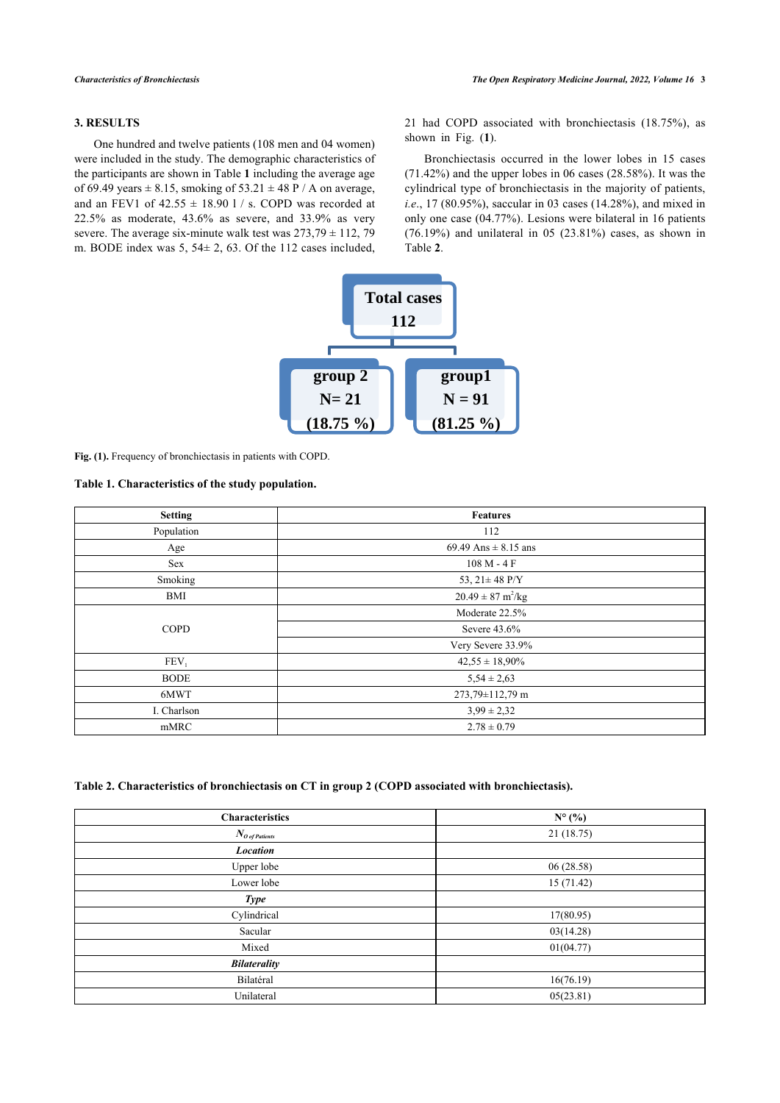## **3. RESULTS**

<span id="page-2-1"></span>One hundred and twelve patients (108 men and 04 women) were included in the study. The demographic characteristics of the participants are shown in Table **[1](#page-2-0)** including the average age of 69.49 years  $\pm$  8.15, smoking of 53.21  $\pm$  48 P / A on average, and an FEV1 of  $42.55 \pm 18.90$  l / s. COPD was recorded at 22.5% as moderate, 43.6% as severe, and 33.9% as very severe. The average six-minute walk test was  $273,79 \pm 112,79$ m. BODE index was 5, 54± 2, 63. Of the 112 cases included, 21 had COPD associated with bronchiectasis (18.75%), as shown in Fig. (**[1](#page-2-1)**).

Bronchiectasis occurred in the lower lobes in 15 cases (71.42%) and the upper lobes in 06 cases (28.58%). It was the cylindrical type of bronchiectasis in the majority of patients, *i.e*., 17 (80.95%), saccular in 03 cases (14.28%), and mixed in only one case (04.77%). Lesions were bilateral in 16 patients (76.19%) and unilateral in 05 (23.81%) cases, as shown in Table **[2](#page-2-2)**.



<span id="page-2-0"></span>**Fig. (1).** Frequency of bronchiectasis in patients with COPD.

## **Table 1. Characteristics of the study population.**

| <b>Setting</b> | <b>Features</b>                      |  |  |  |
|----------------|--------------------------------------|--|--|--|
| Population     | 112                                  |  |  |  |
| Age            | 69.49 Ans $\pm$ 8.15 ans             |  |  |  |
| Sex            | $108 M - 4 F$                        |  |  |  |
| Smoking        | 53, $21 \pm 48$ P/Y                  |  |  |  |
| BMI            | $20.49 \pm 87 \text{ m}^2/\text{kg}$ |  |  |  |
|                | Moderate 22.5%                       |  |  |  |
| <b>COPD</b>    | Severe 43.6%                         |  |  |  |
|                | Very Severe 33.9%                    |  |  |  |
| $FEV_1$        | $42,55 \pm 18,90\%$                  |  |  |  |
| <b>BODE</b>    | $5,54 \pm 2,63$                      |  |  |  |
| 6MWT           | 273,79±112,79 m                      |  |  |  |
| I. Charlson    | $3,99 \pm 2,32$                      |  |  |  |
| mMRC           | $2.78 \pm 0.79$                      |  |  |  |

## <span id="page-2-2"></span>**Table 2. Characteristics of bronchiectasis on CT in group 2 (COPD associated with bronchiectasis).**

| Characteristics                   | $N^{\circ}$ (%) |
|-----------------------------------|-----------------|
| $N_{\it O \textit{ of Patients}}$ | 21(18.75)       |
| <b>Location</b>                   |                 |
| Upper lobe                        | 06 (28.58)      |
| Lower lobe                        | 15 (71.42)      |
| <b>Type</b>                       |                 |
| Cylindrical                       | 17(80.95)       |
| Sacular                           | 03(14.28)       |
| Mixed                             | 01(04.77)       |
| <b>Bilaterality</b>               |                 |
| Bilatéral                         | 16(76.19)       |
| Unilateral                        | 05(23.81)       |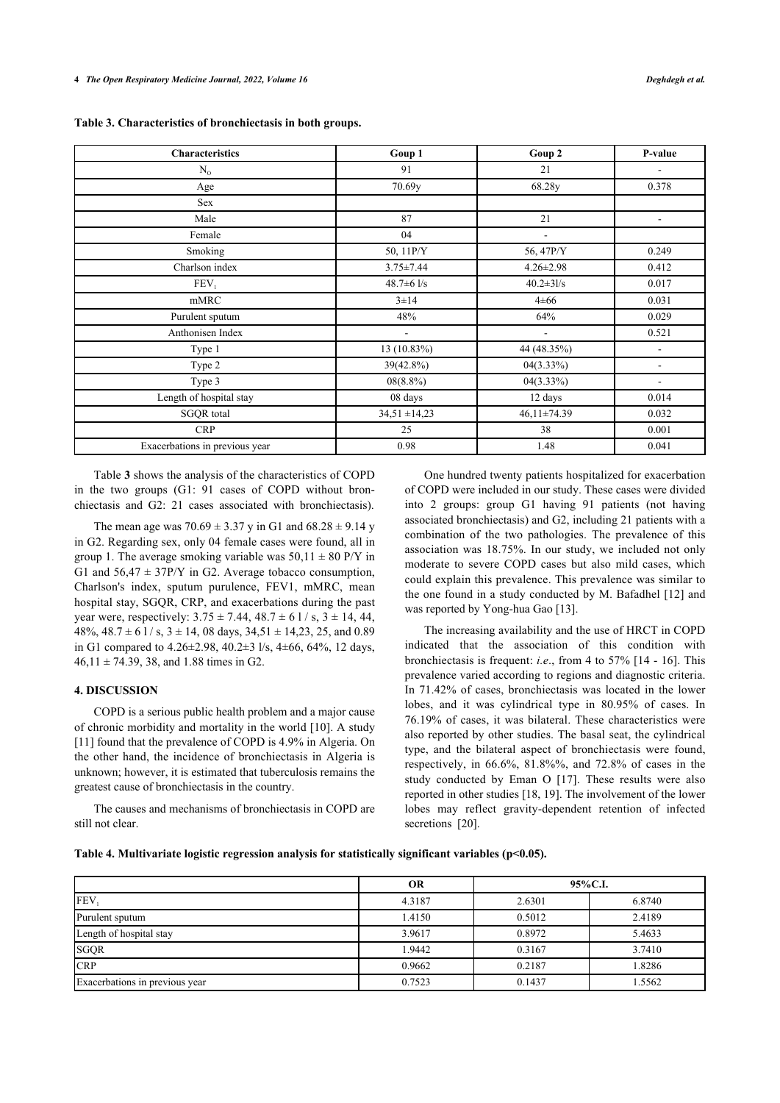<span id="page-3-0"></span>

| <b>Characteristics</b>         | Goup 1                   | Goup 2                   | P-value                  |
|--------------------------------|--------------------------|--------------------------|--------------------------|
| $N_{0}$                        | 91                       | 21                       |                          |
| Age                            | 70.69y                   | 68.28y                   | 0.378                    |
| Sex                            |                          |                          |                          |
| Male                           | 87                       | 21                       | $\overline{\phantom{a}}$ |
| Female                         | 04                       | $\overline{\phantom{a}}$ |                          |
| Smoking                        | 50, 11P/Y                | 56, 47P/Y                | 0.249                    |
| Charlson index                 | $3.75 \pm 7.44$          | $4.26 \pm 2.98$          | 0.412                    |
| FEV <sub>1</sub>               | $48.7 \pm 6$ $1/s$       | $40.2 \pm 31/s$          | 0.017                    |
| mMRC                           | $3 \pm 14$               | $4 \pm 66$               | 0.031                    |
| Purulent sputum                | 48%                      | 64%                      | 0.029                    |
| Anthonisen Index               | $\overline{\phantom{a}}$ | $\overline{a}$           | 0.521                    |
| Type 1                         | 13 (10.83%)              | 44 (48.35%)              |                          |
| Type 2                         | 39(42.8%)                | $04(3.33\%)$             | $\overline{a}$           |
| Type 3                         | $08(8.8\%)$              | $04(3.33\%)$             | $\blacksquare$           |
| Length of hospital stay        | 08 days                  | 12 days                  | 0.014                    |
| <b>SGQR</b> total              | $34,51 \pm 14,23$        | $46,11\pm74.39$          | 0.032                    |
| <b>CRP</b>                     | 25                       | 38                       | 0.001                    |
| Exacerbations in previous year | 0.98                     | 1.48                     | 0.041                    |

Table **[3](#page-3-0)** shows the analysis of the characteristics of COPD in the two groups (G1: 91 cases of COPD without bronchiectasis and G2: 21 cases associated with bronchiectasis).

The mean age was  $70.69 \pm 3.37$  y in G1 and  $68.28 \pm 9.14$  y in G2. Regarding sex, only 04 female cases were found, all in group 1. The average smoking variable was  $50,11 \pm 80$  P/Y in G1 and  $56,47 \pm 37$ P/Y in G2. Average tobacco consumption, Charlson's index, sputum purulence, FEV1, mMRC, mean hospital stay, SGQR, CRP, and exacerbations during the past year were, respectively:  $3.75 \pm 7.44$ ,  $48.7 \pm 6$  1/s,  $3 \pm 14$ ,  $44$ , 48%,  $48.7 \pm 61$  / s,  $3 \pm 14$ , 08 days,  $34.51 \pm 14.23$ , 25, and 0.89 in G1 compared to 4.26±2.98, 40.2±3 l/s, 4±66, 64%, 12 days,  $46,11 \pm 74.39, 38,$  and 1.88 times in G2.

#### **4. DISCUSSION**

COPD is a serious public health problem and a major cause of chronic morbidity and mortality in the world [[10](#page-5-8)]. A study [[11\]](#page-5-9) found that the prevalence of COPD is 4.9% in Algeria. On the other hand, the incidence of bronchiectasis in Algeria is unknown; however, it is estimated that tuberculosis remains the greatest cause of bronchiectasis in the country.

The causes and mechanisms of bronchiectasis in COPD are still not clear.

One hundred twenty patients hospitalized for exacerbation of COPD were included in our study. These cases were divided into 2 groups: group G1 having 91 patients (not having associated bronchiectasis) and G2, including 21 patients with a combination of the two pathologies. The prevalence of this association was 18.75%. In our study, we included not only moderate to severe COPD cases but also mild cases, which could explain this prevalence. This prevalence was similar to the one found in a study conducted by M. Bafadhel [[12](#page-5-10)] and was reported by Yong-hua Gao [\[13](#page-5-11)].

The increasing availability and the use of HRCT in COPD indicated that the association of this condition with bronchiectasis is frequent: *i.e*., from 4 to 57% [[14](#page-5-12) - [16](#page-5-13)]. This prevalence varied according to regions and diagnostic criteria. In 71.42% of cases, bronchiectasis was located in the lower lobes, and it was cylindrical type in 80.95% of cases. In 76.19% of cases, it was bilateral. These characteristics were also reported by other studies. The basal seat, the cylindrical type, and the bilateral aspect of bronchiectasis were found, respectively, in 66.6%, 81.8%%, and 72.8% of cases in the study conducted by Eman O [\[17](#page-5-14)]. These results were also reported in other studies [[18,](#page-5-15) [19](#page-5-16)]. The involvement of the lower lobes may reflect gravity-dependent retention of infected secretions [\[20](#page-5-17)].

<span id="page-3-1"></span>

| Table 4. Multivariate logistic regression analysis for statistically significant variables ( $p<0.05$ ). |  |  |  |  |
|----------------------------------------------------------------------------------------------------------|--|--|--|--|
|                                                                                                          |  |  |  |  |

|                                | <b>OR</b> | 95%C.I. |        |
|--------------------------------|-----------|---------|--------|
| <b>FEV</b>                     | 4.3187    | 2.6301  | 6.8740 |
| Purulent sputum                | 1.4150    | 0.5012  | 2.4189 |
| Length of hospital stay        | 3.9617    | 0.8972  | 5.4633 |
| <b>SGQR</b>                    | 1.9442    | 0.3167  | 3.7410 |
| <b>CRP</b>                     | 0.9662    | 0.2187  | 1.8286 |
| Exacerbations in previous year | 0.7523    | 0.1437  | 1.5562 |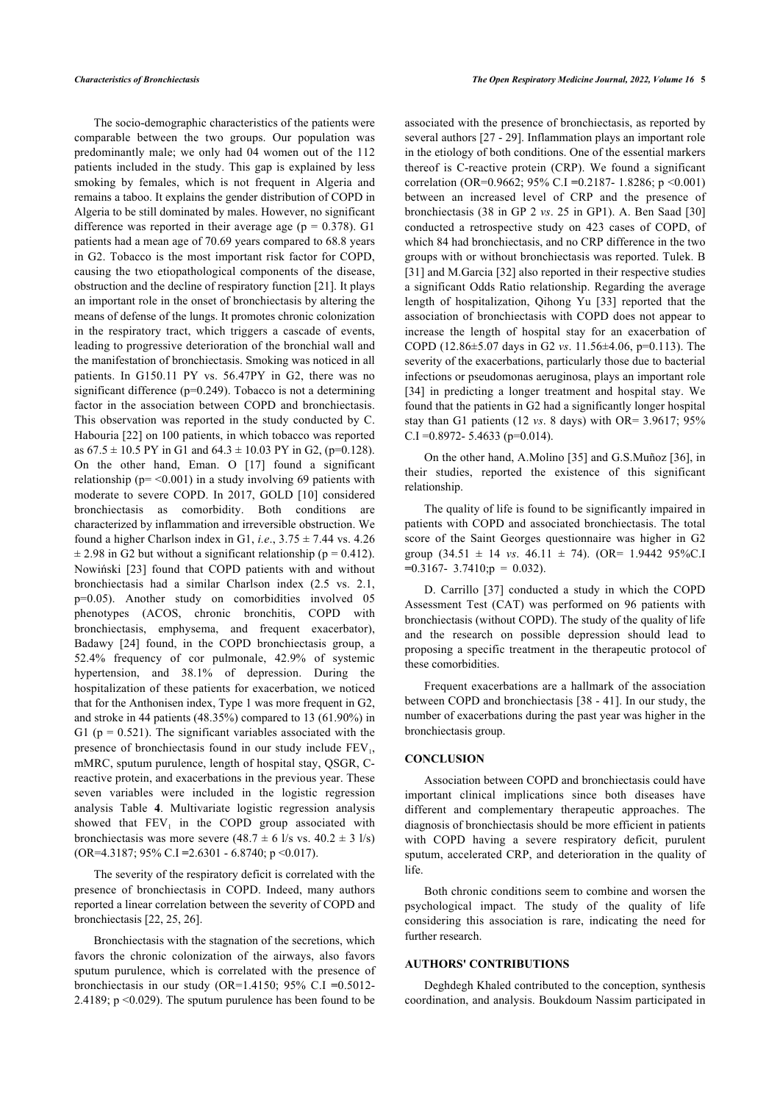The socio-demographic characteristics of the patients were comparable between the two groups. Our population was predominantly male; we only had 04 women out of the 112 patients included in the study. This gap is explained by less smoking by females, which is not frequent in Algeria and remains a taboo. It explains the gender distribution of COPD in Algeria to be still dominated by males. However, no significant difference was reported in their average age ( $p = 0.378$ ). G1 patients had a mean age of 70.69 years compared to 68.8 years in G2. Tobacco is the most important risk factor for COPD, causing the two etiopathological components of the disease, obstruction and the decline of respiratory function [[21\]](#page-5-18). It plays an important role in the onset of bronchiectasis by altering the means of defense of the lungs. It promotes chronic colonization in the respiratory tract, which triggers a cascade of events, leading to progressive deterioration of the bronchial wall and the manifestation of bronchiectasis. Smoking was noticed in all patients. In G150.11 PY vs. 56.47PY in G2, there was no significant difference (p=0.249). Tobacco is not a determining factor in the association between COPD and bronchiectasis. This observation was reported in the study conducted by C. Habouria [[22\]](#page-5-19) on 100 patients, in which tobacco was reported as  $67.5 \pm 10.5$  PY in G1 and  $64.3 \pm 10.03$  PY in G2, (p=0.128). On the other hand, Eman. O [\[17](#page-5-14)] found a significant relationship ( $p = < 0.001$ ) in a study involving 69 patients with moderate to severe COPD. In 2017, GOLD[[10\]](#page-5-8) considered bronchiectasis as comorbidity. Both conditions are characterized by inflammation and irreversible obstruction. We found a higher Charlson index in G1, *i.e.*,  $3.75 \pm 7.44$  vs. 4.26  $\pm$  2.98 in G2 but without a significant relationship (p = 0.412). Nowiński[[23\]](#page-5-20) found that COPD patients with and without bronchiectasis had a similar Charlson index (2.5 vs. 2.1, p=0.05). Another study on comorbidities involved 05 phenotypes (ACOS, chronic bronchitis, COPD with bronchiectasis, emphysema, and frequent exacerbator), Badawy [\[24\]](#page-5-21) found, in the COPD bronchiectasis group, a 52.4% frequency of cor pulmonale, 42.9% of systemic hypertension, and 38.1% of depression. During the hospitalization of these patients for exacerbation, we noticed that for the Anthonisen index, Type 1 was more frequent in G2, and stroke in 44 patients (48.35%) compared to 13 (61.90%) in G1 ( $p = 0.521$ ). The significant variables associated with the presence of bronchiectasis found in our study include  $FEV<sub>1</sub>$ , mMRC, sputum purulence, length of hospital stay, QSGR, Creactive protein, and exacerbations in the previous year. These seven variables were included in the logistic regression analysis Table**4**. Multivariate logistic regression analysis showed that  $FEV<sub>1</sub>$  in the COPD group associated with bronchiectasis was more severe  $(48.7 \pm 6 \frac{1}{s} \text{ vs. } 40.2 \pm 3 \frac{1}{s})$ (OR=4.3187; 95% C.I **=**2.6301 - 6.8740; p <0.017).

The severity of the respiratory deficit is correlated with the presence of bronchiectasis in COPD. Indeed, many authors reported a linear correlation between the severity of COPD and bronchiectasis [\[22](#page-5-19), [25,](#page-5-22) [26](#page-5-23)].

Bronchiectasis with the stagnation of the secretions, which favors the chronic colonization of the airways, also favors sputum purulence, which is correlated with the presence of bronchiectasis in our study (OR=1.4150; 95% C.I **=**0.5012- 2.4189; p <0.029). The sputum purulence has been found to be associated with the presence of bronchiectasis, as reported by several authors [\[27](#page-5-24) - [29](#page-6-0)]. Inflammation plays an important role in the etiology of both conditions. One of the essential markers thereof is C-reactive protein (CRP). We found a significant correlation (OR=0.9662; 95% C.I **=**0.2187- 1.8286; p <0.001) between an increased level of CRP and the presence of bronchiectasis (38 in GP 2 *vs*. 25 in GP1). A. Ben Saad [\[30\]](#page-6-1) conducted a retrospective study on 423 cases of COPD, of which 84 had bronchiectasis, and no CRP difference in the two groups with or without bronchiectasis was reported. Tulek. B [[31](#page-6-2)] and M.Garcia [[32\]](#page-6-3) also reported in their respective studies a significant Odds Ratio relationship. Regarding the average length of hospitalization, Qihong Yu [\[33\]](#page-6-4) reported that the association of bronchiectasis with COPD does not appear to increase the length of hospital stay for an exacerbation of COPD (12.86±5.07 days in G2 *vs*. 11.56±4.06, p=0.113). The severity of the exacerbations, particularly those due to bacterial infections or pseudomonas aeruginosa, plays an important role [[34](#page-6-5)] in predicting a longer treatment and hospital stay. We found that the patients in G2 had a significantly longer hospital stay than G1 patients (12 *vs*. 8 days) with OR= 3.9617; 95% C.I = 0.8972 - 5.4633 (p= $0.014$ ).

On the other hand, A.Molino [\[35\]](#page-6-6) and G.S.Muñoz [[36\]](#page-6-0), in their studies, reported the existence of this significant relationship.

The quality of life is found to be significantly impaired in patients with COPD and associated bronchiectasis. The total score of the Saint Georges questionnaire was higher in G2 group  $(34.51 \pm 14 \text{ vs. } 46.11 \pm 74)$ . (OR= 1.9442 95%C.I) **=**0.3167- 3.7410;p = 0.032).

D. Carrillo [\[37\]](#page-6-7) conducted a study in which the COPD Assessment Test (CAT) was performed on 96 patients with bronchiectasis (without COPD). The study of the quality of life and the research on possible depression should lead to proposing a specific treatment in the therapeutic protocol of these comorbidities.

Frequent exacerbations are a hallmark of the association between COPD and bronchiectasis [\[38](#page-6-8) - [41\]](#page-6-9). In our study, the number of exacerbations during the past year was higher in the bronchiectasis group.

#### **CONCLUSION**

Association between COPD and bronchiectasis could have important clinical implications since both diseases have different and complementary therapeutic approaches. The diagnosis of bronchiectasis should be more efficient in patients with COPD having a severe respiratory deficit, purulent sputum, accelerated CRP, and deterioration in the quality of life.

Both chronic conditions seem to combine and worsen the psychological impact. The study of the quality of life considering this association is rare, indicating the need for further research.

#### **AUTHORS' CONTRIBUTIONS**

Deghdegh Khaled contributed to the conception, synthesis coordination, and analysis. Boukdoum Nassim participated in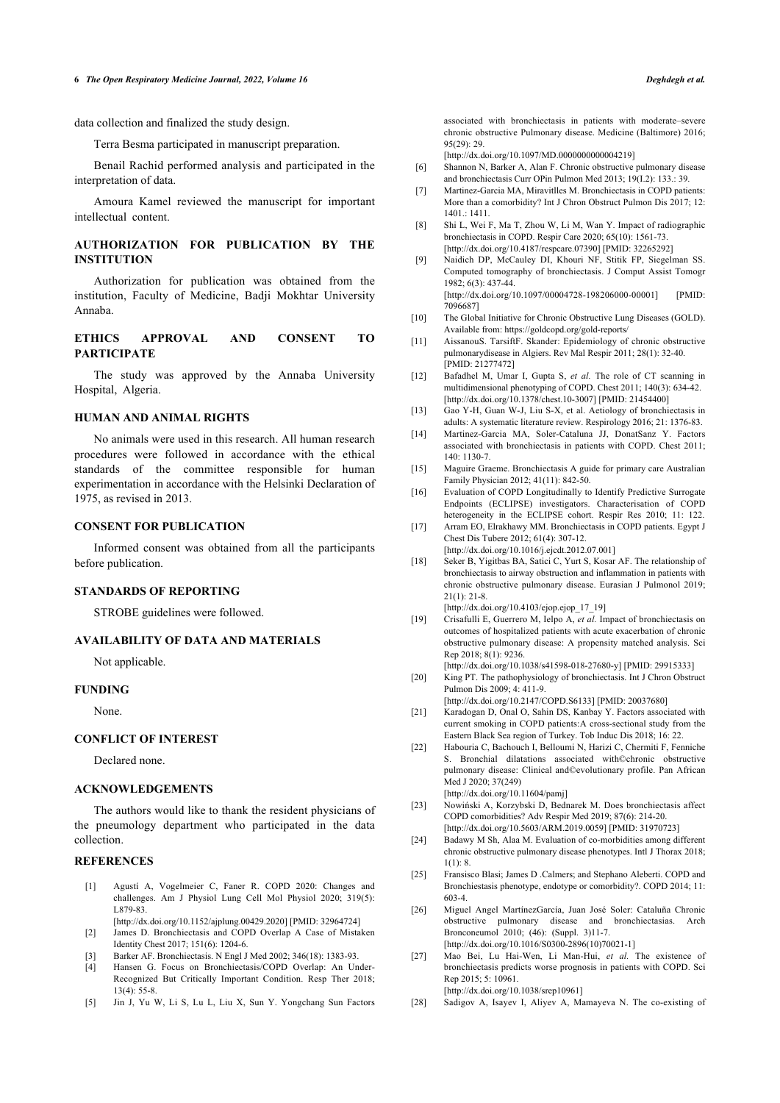data collection and finalized the study design.

Terra Besma participated in manuscript preparation.

<span id="page-5-5"></span>Benail Rachid performed analysis and participated in the interpretation of data.

<span id="page-5-6"></span>Amoura Kamel reviewed the manuscript for important intellectual content.

## <span id="page-5-7"></span>**AUTHORIZATION FOR PUBLICATION BY THE INSTITUTION**

Authorization for publication was obtained from the institution, Faculty of Medicine, Badji Mokhtar University Annaba.

## <span id="page-5-9"></span><span id="page-5-8"></span>**ETHICS APPROVAL AND CONSENT TO PARTICIPATE**

<span id="page-5-10"></span>The study was approved by the Annaba University Hospital, Algeria.

## <span id="page-5-11"></span>**HUMAN AND ANIMAL RIGHTS**

<span id="page-5-12"></span>No animals were used in this research. All human research procedures were followed in accordance with the ethical standards of the committee responsible for human experimentation in accordance with the Helsinki Declaration of 1975, as revised in 2013.

## <span id="page-5-14"></span><span id="page-5-13"></span>**CONSENT FOR PUBLICATION**

<span id="page-5-15"></span>Informed consent was obtained from all the participants before publication.

## **STANDARDS OF REPORTING**

STROBE guidelines were followed.

## <span id="page-5-16"></span>**AVAILABILITY OF DATA AND MATERIALS**

Not applicable.

#### <span id="page-5-18"></span><span id="page-5-17"></span>**FUNDING**

None.

## <span id="page-5-19"></span>**CONFLICT OF INTEREST**

Declared none.

# **ACKNOWLEDGEMENTS**

<span id="page-5-20"></span>The authors would like to thank the resident physicians of the pneumology department who participated in the data collection.

## <span id="page-5-22"></span><span id="page-5-21"></span><span id="page-5-0"></span>**REFERENCES**

- [1] Agustí A, Vogelmeier C, Faner R. COPD 2020: Changes and challenges. Am J Physiol Lung Cell Mol Physiol 2020; 319(5): L879-83.
- <span id="page-5-23"></span><span id="page-5-1"></span>[\[http://dx.doi.org/10.1152/ajplung.00429.2020](http://dx.doi.org/10.1152/ajplung.00429.2020)] [PMID: [32964724\]](http://www.ncbi.nlm.nih.gov/pubmed/32964724) [2] James D. Bronchiectasis and COPD Overlap A Case of Mistaken Identity Chest 2017; 151(6): 1204-6.
- [3] Barker AF. Bronchiectasis. N Engl J Med 2002; 346(18): 1383-93.
- <span id="page-5-24"></span><span id="page-5-3"></span><span id="page-5-2"></span>[4] Hansen G. Focus on Bronchiectasis/COPD Overlap: An Under-Recognized But Critically Important Condition. Resp Ther 2018;  $13(4)$ : 55-8.
- <span id="page-5-4"></span>[5] Jin J, Yu W, Li S, Lu L, Liu X, Sun Y. Yongchang Sun Factors

associated with bronchiectasis in patients with moderate–severe chronic obstructive Pulmonary disease. Medicine (Baltimore) 2016;  $95(29) \cdot 29$ 

[\[http://dx.doi.org/10.1097/MD.0000000000004219](http://dx.doi.org/10.1097/MD.0000000000004219)]

- [6] Shannon N, Barker A, Alan F. Chronic obstructive pulmonary disease and bronchiectasis Curr OPin Pulmon Med 2013; 19(I.2): 133.: 39.
- [7] Martinez-Garcia MA, Miravitlles M. Bronchiectasis in COPD patients: More than a comorbidity? Int J Chron Obstruct Pulmon Dis 2017; 12: 1401.: 1411.
- [8] Shi L, Wei F, Ma T, Zhou W, Li M, Wan Y. Impact of radiographic bronchiectasis in COPD. Respir Care 2020; 65(10): 1561-73. [\[http://dx.doi.org/10.4187/respcare.07390](http://dx.doi.org/10.4187/respcare.07390)] [PMID: [32265292\]](http://www.ncbi.nlm.nih.gov/pubmed/32265292)
- [9] Naidich DP, McCauley DI, Khouri NF, Stitik FP, Siegelman SS. Computed tomography of bronchiectasis. J Comput Assist Tomogr 1982; 6(3): 437-44. [\[http://dx.doi.org/10.1097/00004728-198206000-00001](http://dx.doi.org/10.1097/00004728-198206000-00001)] [PMID: [7096687](http://www.ncbi.nlm.nih.gov/pubmed/7096687)]
- [10] The Global Initiative for Chronic Obstructive Lung Diseases (GOLD). Available from:<https://goldcopd.org/gold-reports/>
- [11] AissanouS. TarsiftF. Skander: Epidemiology of chronic obstructive pulmonarydisease in Algiers. Rev Mal Respir 2011; 28(1): 32-40. [PMID: [21277472\]](http://www.ncbi.nlm.nih.gov/pubmed/21277472)
- [12] Bafadhel M, Umar I, Gupta S, *et al.* The role of CT scanning in multidimensional phenotyping of COPD. Chest 2011; 140(3): 634-42. [\[http://dx.doi.org/10.1378/chest.10-3007\]](http://dx.doi.org/10.1378/chest.10-3007) [PMID: [21454400\]](http://www.ncbi.nlm.nih.gov/pubmed/21454400)
- [13] Gao Y-H, Guan W-J, Liu S-X, et al. Aetiology of bronchiectasis in adults: A systematic literature review. Respirology 2016; 21: 1376-83.
- [14] Martinez-Garcia MA, Soler-Cataluna JJ, DonatSanz Y. Factors associated with bronchiectasis in patients with COPD. Chest 2011; 140: 1130-7.
- [15] Maguire Graeme. Bronchiectasis A guide for primary care Australian Family Physician 2012; 41(11): 842-50.
- [16] Evaluation of COPD Longitudinally to Identify Predictive Surrogate Endpoints (ECLIPSE) investigators. Characterisation of COPD heterogeneity in the ECLIPSE cohort. Respir Res 2010; 11: 122.
- [17] Arram EO, Elrakhawy MM. Bronchiectasis in COPD patients. Egypt J Chest Dis Tubere 2012; 61(4): 307-12. [\[http://dx.doi.org/10.1016/j.ejcdt.2012.07.001\]](http://dx.doi.org/10.1016/j.ejcdt.2012.07.001)
- [18] Seker B, Yigitbas BA, Satici C, Yurt S, Kosar AF. The relationship of bronchiectasis to airway obstruction and inflammation in patients with chronic obstructive pulmonary disease. Eurasian J Pulmonol 2019;  $21(1): 21-8.$

[\[http://dx.doi.org/10.4103/ejop.ejop\\_17\\_19](http://dx.doi.org/10.4103/ejop.ejop_17_19)]

- [19] Crisafulli E, Guerrero M, Ielpo A, *et al.* Impact of bronchiectasis on outcomes of hospitalized patients with acute exacerbation of chronic obstructive pulmonary disease: A propensity matched analysis. Sci Rep 2018; 8(1): 9236.
- [\[http://dx.doi.org/10.1038/s41598-018-27680-y](http://dx.doi.org/10.1038/s41598-018-27680-y)] [PMID: [29915333\]](http://www.ncbi.nlm.nih.gov/pubmed/29915333) [20] King PT. The pathophysiology of bronchiectasis. Int J Chron Obstruct Pulmon Dis 2009; 4: 411-9.
- [\[http://dx.doi.org/10.2147/COPD.S6133\]](http://dx.doi.org/10.2147/COPD.S6133) [PMID: [20037680](http://www.ncbi.nlm.nih.gov/pubmed/20037680)]
- [21] Karadogan D, Onal O, Sahin DS, Kanbay Y. Factors associated with current smoking in COPD patients:A cross-sectional study from the Eastern Black Sea region of Turkey. Tob Induc Dis 2018; 16: 22.
- [22] Habouria C, Bachouch I, Belloumi N, Harizi C, Chermiti F, Fenniche S. Bronchial dilatations associated with©chronic obstructive pulmonary disease: Clinical and©evolutionary profile. Pan African Med J 2020; 37(249)

[\[http://dx.doi.org/10.11604/pamj\]](http://dx.doi.org/10.11604/pamj)

- [23] Nowiński A, Korzybski D, Bednarek M. Does bronchiectasis affect COPD comorbidities? Adv Respir Med 2019; 87(6): 214-20. [\[http://dx.doi.org/10.5603/ARM.2019.0059\]](http://dx.doi.org/10.5603/ARM.2019.0059) [PMID: [31970723\]](http://www.ncbi.nlm.nih.gov/pubmed/31970723)
- [24] Badawy M Sh, Alaa M. Evaluation of co-morbidities among different chronic obstructive pulmonary disease phenotypes. Intl J Thorax 2018;  $1(1): 8.$
- [25] Fransisco Blasi; James D .Calmers; and Stephano Aleberti. COPD and Bronchiestasis phenotype, endotype or comorbidity?. COPD 2014; 11: 603-4.
- [26] Miguel Angel MartínezGarcía, Juan José Soler: Cataluña Chronic obstructive pulmonary disease and bronchiectasias. Arch Bronconeumol 2010; (46): (Suppl. 3)11-7. [\[http://dx.doi.org/10.1016/S0300-2896\(10\)70021-1\]](http://dx.doi.org/10.1016/S0300-2896(10)70021-1)
- [27] Mao Bei, Lu Hai-Wen, Li Man-Hui, *et al.* The existence of bronchiectasis predicts worse prognosis in patients with COPD. Sci Rep 2015; 5: 10961.

[\[http://dx.doi.org/10.1038/srep10961\]](http://dx.doi.org/10.1038/srep10961)

[28] Sadigov A, Isayev I, Aliyev A, Mamayeva N. The co-existing of